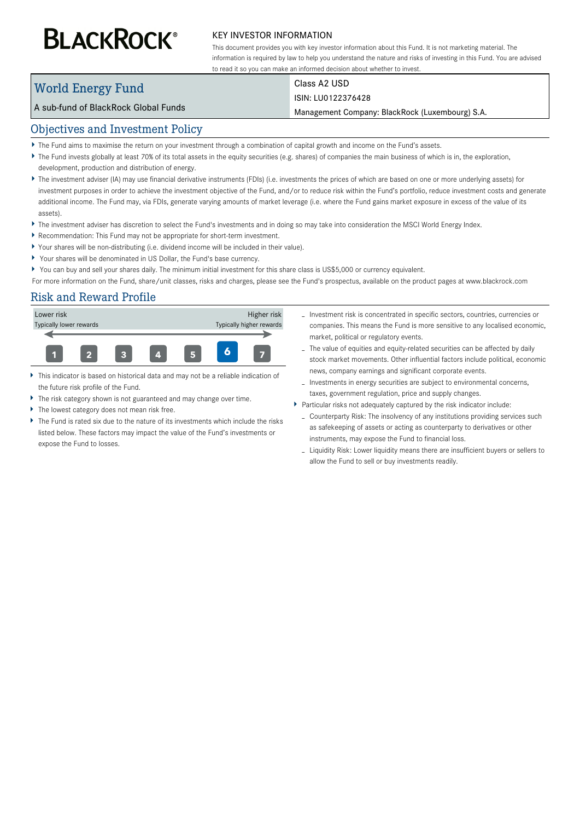# **BLACKROCK®**

#### KEY INVESTOR INFORMATION

This document provides you with key investor information about this Fund. It is not marketing material. The information is required by law to help you understand the nature and risks of investing in this Fund. You are advised to read it so you can make an informed decision about whether to invest.

# World Energy Fund

# Class A2 USD

#### ISIN: LU0122376428

Management Company: BlackRock (Luxembourg) S.A.

## Objectives and Investment Policy

A sub-fund of BlackRock Global Funds

- The Fund aims to maximise the return on your investment through a combination of capital growth and income on the Fund's assets.
- ▶ The Fund invests globally at least 70% of its total assets in the equity securities (e.g. shares) of companies the main business of which is in, the exploration, development, production and distribution of energy.
- ▶ The investment adviser (IA) may use financial derivative instruments (FDIs) (i.e. investments the prices of which are based on one or more underlying assets) for investment purposes in order to achieve the investment objective of the Fund, and/or to reduce risk within the Fund's portfolio, reduce investment costs and generate additional income. The Fund may, via FDIs, generate varying amounts of market leverage (i.e. where the Fund gains market exposure in excess of the value of its assets).
- The investment adviser has discretion to select the Fund's investments and in doing so may take into consideration the MSCI World Energy Index.
- Recommendation: This Fund may not be appropriate for short-term investment.
- Your shares will be non-distributing (i.e. dividend income will be included in their value).
- Your shares will be denominated in US Dollar, the Fund's base currency.
- You can buy and sell your shares daily. The minimum initial investment for this share class is US\$5,000 or currency equivalent.

For more information on the Fund, share/unit classes, risks and charges, please see the Fund's prospectus, available on the product pages at www.blackrock.com

## Risk and Reward Profile



- This indicator is based on historical data and may not be a reliable indication of the future risk profile of the Fund.
- The risk category shown is not guaranteed and may change over time.
- The lowest category does not mean risk free.
- The Fund is rated six due to the nature of its investments which include the risks listed below. These factors may impact the value of the Fund's investments or expose the Fund to losses.
- Investment risk is concentrated in specific sectors, countries, currencies or companies. This means the Fund is more sensitive to any localised economic, market, political or regulatory events.
- The value of equities and equity-related securities can be affected by daily stock market movements. Other influential factors include political, economic news, company earnings and significant corporate events.
- Investments in energy securities are subject to environmental concerns, taxes, government regulation, price and supply changes.
- Particular risks not adequately captured by the risk indicator include:
	- Counterparty Risk: The insolvency of any institutions providing services such as safekeeping of assets or acting as counterparty to derivatives or other instruments, may expose the Fund to financial loss.
	- Liquidity Risk: Lower liquidity means there are insufficient buyers or sellers to allow the Fund to sell or buy investments readily.